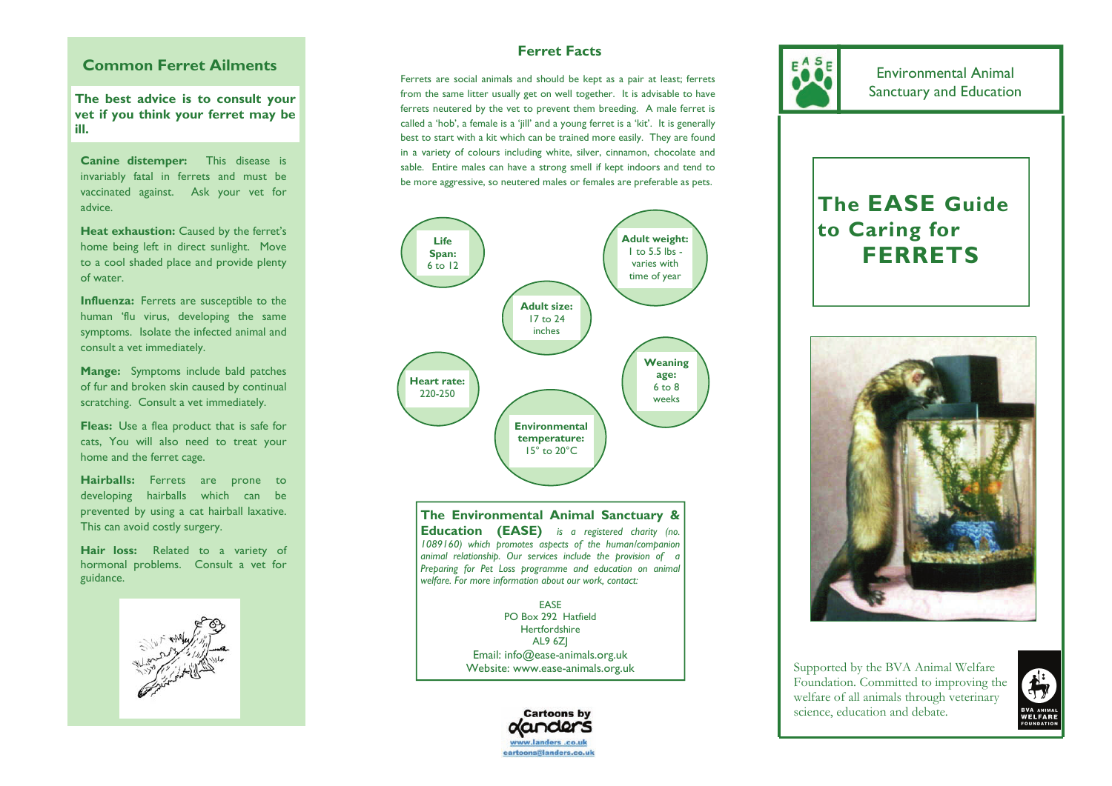## **Common Ferret Ailments**

**The best advice is to consult your vet if you think your ferret may be ill.** 

**Canine distemper:** This disease is invariably fatal in ferrets and must be vaccinated against. Ask your vet for advice.

**Heat exhaustion:** Caused by the ferret's home being left in direct sunlight. Move to a cool shaded place and provide plenty of water.

**Influenza:** Ferrets are susceptible to the human 'flu virus, developing the same symptoms. Isolate the infected animal and consult a vet immediately.

**Mange:** Symptoms include bald patches of fur and broken skin caused by continual scratching. Consult a vet immediately.

**Fleas:** Use a flea product that is safe for cats, You will also need to treat your home and the ferret cage.

**Hairballs:** Ferrets are prone to developing hairballs which can be prevented by using a cat hairball laxative. This can avoid costly surgery.

**Hair loss:** Related to a variety of hormonal problems. Consult a vet for guidance.



# **Ferret Facts**

Ferrets are social animals and should be kept as a pair at least; ferrets advice is to consult vour **and a** from the same litter usually get on well together. It is advisable to have **and advice is to consult your and Education** ferrets neutered by the vet to prevent them breeding. A male ferret is called a 'hob', a female is a 'jill' and a young ferret is a 'kit'. It is generally best to start with a kit which can be trained more easily. They are found in a variety of colours including white, silver, cinnamon, chocolate and sable. Entire males can have a strong smell if kept indoors and tend to be more aggressive, so neutered males or females are preferable as pets.



**The Environmental Animal Sanctuary & Education (EASE)** *is a registered charity (no. 1089160) which promotes aspects of the human/companion animal relationship. Our services include the provision of a Preparing for Pet Loss programme and education on animal welfare. For more information about our work, contact:* 

> EASE PO Box 292 Hatfield **Hertfordshire** AL9 6ZJ Email: info@ease-animals.org.uk Website: www.ease-animals.org.uk



Environmental Animal

# **The EASE Guide to Caring for FERRETS**



Supported by the BVA Animal Welfare Foundation. Committed to improving the welfare of all animals through veterinary science, education and debate.